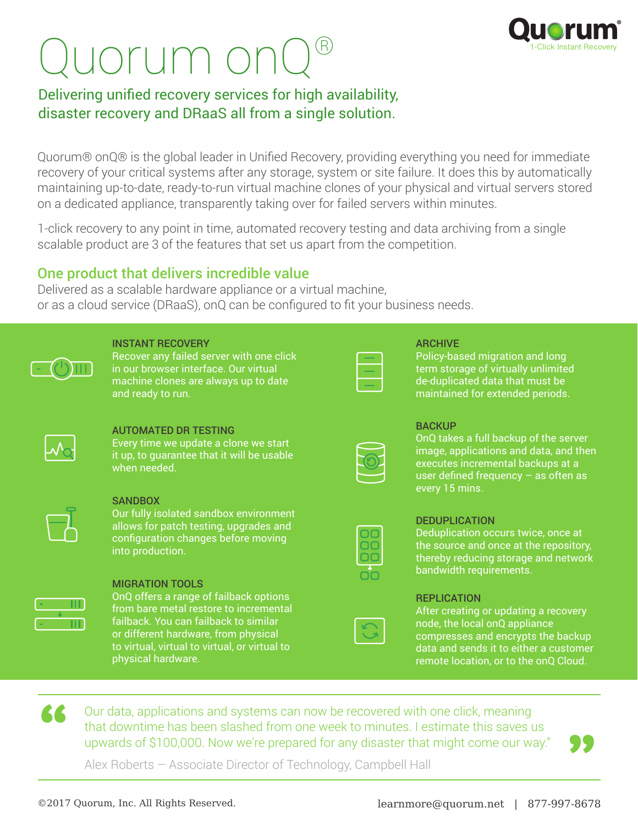# uorum on(



### Delivering unified recovery services for high availability, disaster recovery and DRaaS all from a single solution.

Quorum® onQ® is the global leader in Unified Recovery, providing everything you need for immediate recovery of your critical systems after any storage, system or site failure. It does this by automatically maintaining up-to-date, ready-to-run virtual machine clones of your physical and virtual servers stored on a dedicated appliance, transparently taking over for failed servers within minutes.

1-click recovery to any point in time, automated recovery testing and data archiving from a single scalable product are 3 of the features that set us apart from the competition.

#### One product that delivers incredible value

Delivered as a scalable hardware appliance or a virtual machine, or as a cloud service (DRaaS), onQ can be configured to fit your business needs.

| <b>INSTANT RECOVERY</b><br>Recover any failed server with one click<br>in our browser interface. Our virtual<br>machine clones are always up to date<br>and ready to run.                                                                                          | $\equiv$       |
|--------------------------------------------------------------------------------------------------------------------------------------------------------------------------------------------------------------------------------------------------------------------|----------------|
| <b>AUTOMATED DR TESTING</b><br>Every time we update a clone we start<br>it up, to guarantee that it will be usable<br>when needed.                                                                                                                                 |                |
| <b>SANDBOX</b><br>Our fully isolated sandbox environment<br>allows for patch testing, upgrades and<br>configuration changes before moving<br>into production.                                                                                                      | 00<br>00<br>00 |
| <b>MIGRATION TOOLS</b><br>OnQ offers a range of failback options<br>from bare metal restore to incremental<br>failback. You can failback to similar<br>or different hardware, from physical<br>to virtual, virtual to virtual, or virtual to<br>physical hardware. |                |

#### ARCHIVE

Policy-based migration and long term storage of virtually unlimited de-duplicated data that must be maintained for extended periods.

#### **BACKUP**

OnQ takes a full backup of the server image, applications and data, and then executes incremental backups at a user defined frequency - as often as every 15 mins.

#### **DEDUPLICATION**

Deduplication occurs twice, once at the source and once at the repository, thereby reducing storage and network bandwidth requirements.

| <b>REPLICATION</b> |  |  |  |
|--------------------|--|--|--|
|                    |  |  |  |

After creating or updating a recovery node, the local onQ appliance compresses and encrypts the backup data and sends it to either a customer remote location, or to the onQ Cloud.

Our data, applications and systems can now be recovered with one click, meaning that downtime has been slashed from one week to minutes. I estimate this saves us upwards of \$100,000. Now we're prepared for any disaster that might come our way." **"**

—<br>??

Alex Roberts – Associate Director of Technology, Campbell Hall